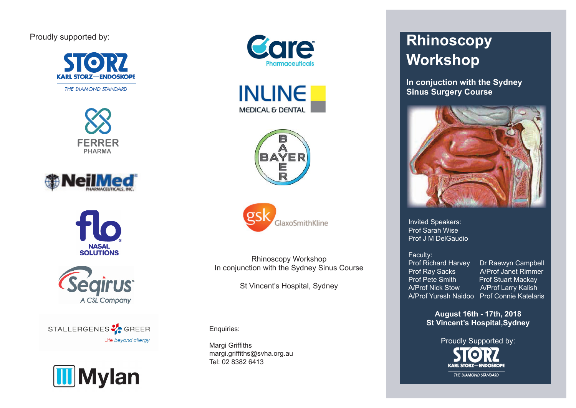# Proudly supported by:











STALLERGENES **V** GREER Life beyond allergy











Rhinoscopy Workshop In conjunction with the Sydney Sinus Course

St Vincent's Hospital, Sydney

Enquiries:

Margi Griffiths margi.griffiths@svha.org.au Tel: 02 8382 6413

# **Rhinoscopy Workshop**

**In conjuction with the Sydney Sinus Surgery Course** 



Invited Speakers: Prof Sarah Wise Prof J M DelGaudio

#### Faculty:

**Prof Richard Harvey** Dr Raewyn Campbell Prof Pete Smith Prof Stuart Mackay A/Prof Nick Stow A/Prof Larry Kalish

Prof Ray Sacks A/Prof Janet Rimmer A/Prof Yuresh Naidoo Prof Connie Katelaris

> **August 16th - 17th, 2018 St Vincent's Hospital,Sydney**